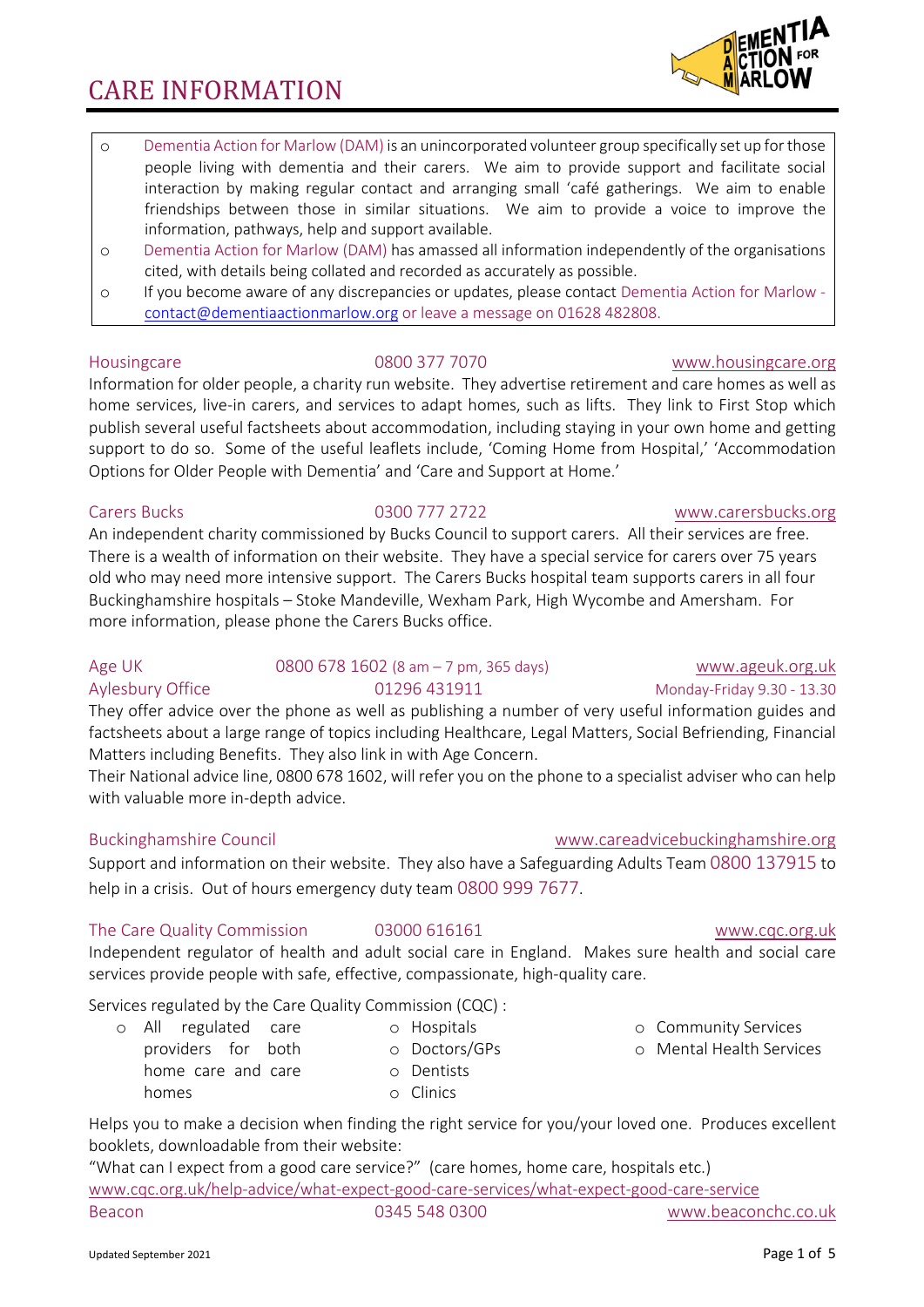- o Dementia Action for Marlow (DAM) is an unincorporated volunteer group specifically set up for those people living with dementia and their carers. We aim to provide support and facilitate social interaction by making regular contact and arranging small 'café gatherings. We aim to enable friendships between those in similar situations. We aim to provide a voice to improve the information, pathways, help and support available.
- o Dementia Action for Marlow (DAM) has amassed all information independently of the organisations cited, with details being collated and recorded as accurately as possible.
- o If you become aware of any discrepancies or updates, please contact Dementia Action for Marlow contact@dementiaactionmarlow.org or leave a message on 01628 482808.

#### Housingcare 0800 377 7070 www.housingcare.org

Information for older people, a charity run website. They advertise retirement and care homes as well as home services, live-in carers, and services to adapt homes, such as lifts. They link to First Stop which publish several useful factsheets about accommodation, including staying in your own home and getting support to do so. Some of the useful leaflets include, 'Coming Home from Hospital,' 'Accommodation Options for Older People with Dementia' and 'Care and Support at Home.'

### Carers Bucks 0300 777 2722 www.carersbucks.org

An independent charity commissioned by Bucks Council to support carers. All their services are free. There is a wealth of information on their website. They have a special service for carers over 75 years old who may need more intensive support. The Carers Bucks hospital team supports carers in all four Buckinghamshire hospitals – Stoke Mandeville, Wexham Park, High Wycombe and Amersham. For more information, please phone the Carers Bucks office.

## Age UK 0800 678 1602 (8 am – 7 pm, 365 days) www.ageuk.org.uk Aylesbury Office  $01296\ 431911$  Monday-Friday 9.30 - 13.30 They offer advice over the phone as well as publishing a number of very useful information guides and

factsheets about a large range of topics including Healthcare, Legal Matters, Social Befriending, Financial Matters including Benefits. They also link in with Age Concern.

Their National advice line, 0800 678 1602, will refer you on the phone to a specialist adviser who can help with valuable more in-depth advice.

### Buckinghamshire Council www.careadvicebuckinghamshire.org

Support and information on their website. They also have a Safeguarding Adults Team 0800 137915 to help in a crisis. Out of hours emergency duty team 0800 999 7677.

### The Care Quality Commission 03000 616161 www.cqc.org.uk

Independent regulator of health and adult social care in England. Makes sure health and social care services provide people with safe, effective, compassionate, high-quality care.

Services regulated by the Care Quality Commission (CQC) :

- o All regulated care providers for both o Hospitals o Doctors/GPs
	- home care and care homes
- Helps you to make a decision when finding the right service for you/your loved one. Produces excellent booklets, downloadable from their website:

"What can I expect from a good care service?" (care homes, home care, hospitals etc.) www.cqc.org.uk/help-advice/what-expect-good-care-services/what-expect-good-care-service Beacon 0345 548 0300 www.beaconchc.co.uk

o Dentists o Clinics

# o Community Services

o Mental Health Services

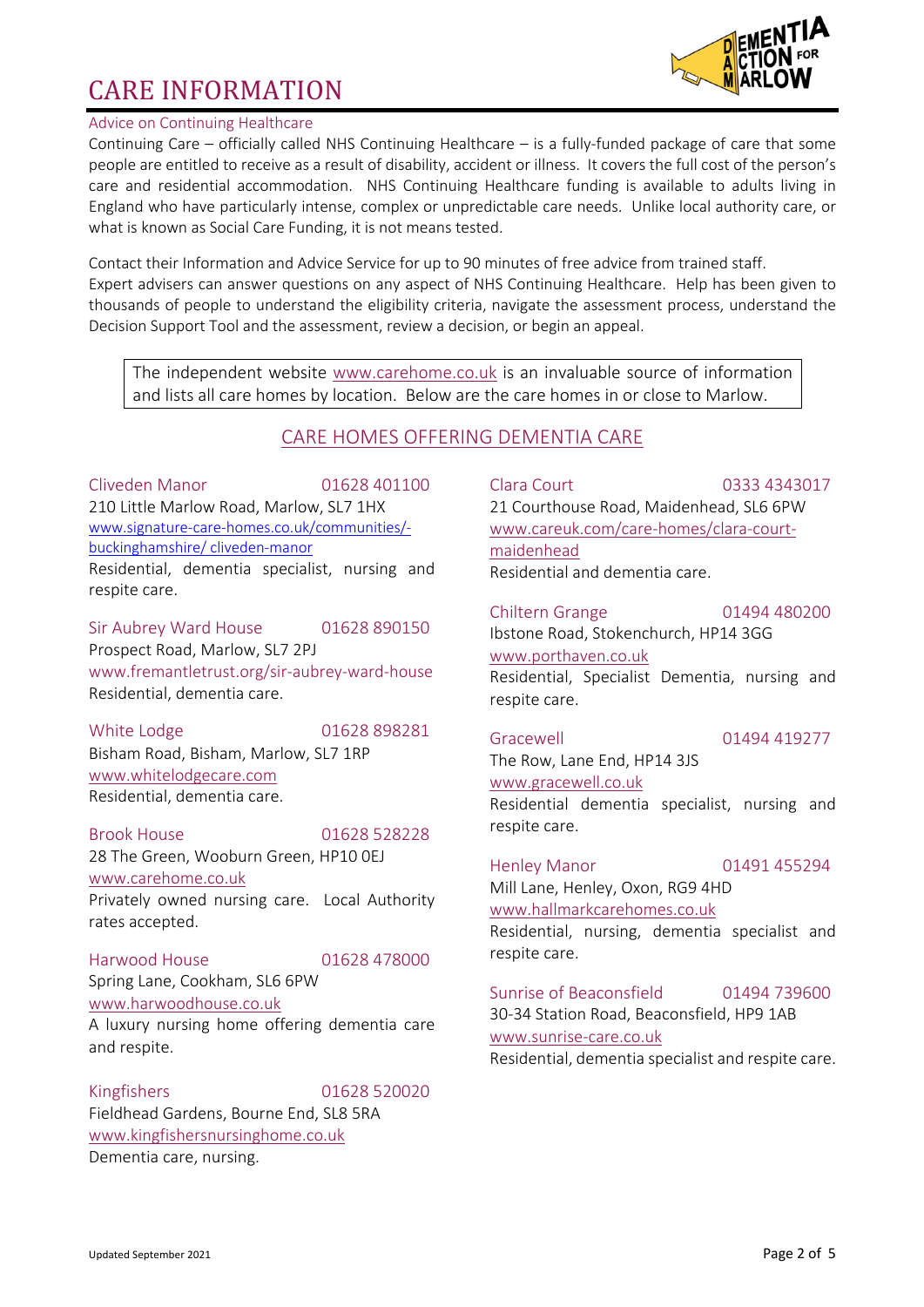

### Advice on Continuing Healthcare

Continuing Care – officially called NHS Continuing Healthcare – is a fully-funded package of care that some people are entitled to receive as a result of disability, accident or illness. It covers the full cost of the person's care and residential accommodation. NHS Continuing Healthcare funding is available to adults living in England who have particularly intense, complex or unpredictable care needs. Unlike local authority care, or what is known as Social Care Funding, it is not means tested.

Contact their Information and Advice Service for up to 90 minutes of free advice from trained staff. Expert advisers can answer questions on any aspect of NHS Continuing Healthcare. Help has been given to thousands of people to understand the eligibility criteria, navigate the assessment process, understand the Decision Support Tool and the assessment, review a decision, or begin an appeal.

The independent website www.carehome.co.uk is an invaluable source of information and lists all care homes by location. Below are the care homes in or close to Marlow.

# CARE HOMES OFFERING DEMENTIA CARE

Cliveden Manor 01628 401100 210 Little Marlow Road, Marlow, SL7 1HX www.signature-care-homes.co.uk/communities/ buckinghamshire/ cliveden-manor Residential, dementia specialist, nursing and respite care.

Sir Aubrey Ward House 01628 890150 Prospect Road, Marlow, SL7 2PJ www.fremantletrust.org/sir-aubrey-ward-house Residential, dementia care.

White Lodge 01628 898281 Bisham Road, Bisham, Marlow, SL7 1RP www.whitelodgecare.com Residential, dementia care.

Brook House 01628 528228 28 The Green, Wooburn Green, HP10 0EJ www.carehome.co.uk Privately owned nursing care. Local Authority rates accepted.

Harwood House 01628 478000 Spring Lane, Cookham, SL6 6PW www.harwoodhouse.co.uk A luxury nursing home offering dementia care and respite.

Kingfishers 01628 520020 Fieldhead Gardens, Bourne End, SL8 5RA www.kingfishersnursinghome.co.uk Dementia care, nursing.

Clara Court 0333 4343017 21 Courthouse Road, Maidenhead, SL6 6PW www.careuk.com/care-homes/clara-courtmaidenhead Residential and dementia care.

Chiltern Grange 01494 480200 Ibstone Road, Stokenchurch, HP14 3GG www.porthaven.co.uk Residential, Specialist Dementia, nursing and respite care.

Gracewell 01494 419277 The Row, Lane End, HP14 3JS www.gracewell.co.uk Residential dementia specialist, nursing and respite care.

Henley Manor 01491 455294 Mill Lane, Henley, Oxon, RG9 4HD www.hallmarkcarehomes.co.uk Residential, nursing, dementia specialist and respite care.

Sunrise of Beaconsfield 01494 739600 30-34 Station Road, Beaconsfield, HP9 1AB www.sunrise-care.co.uk Residential, dementia specialist and respite care.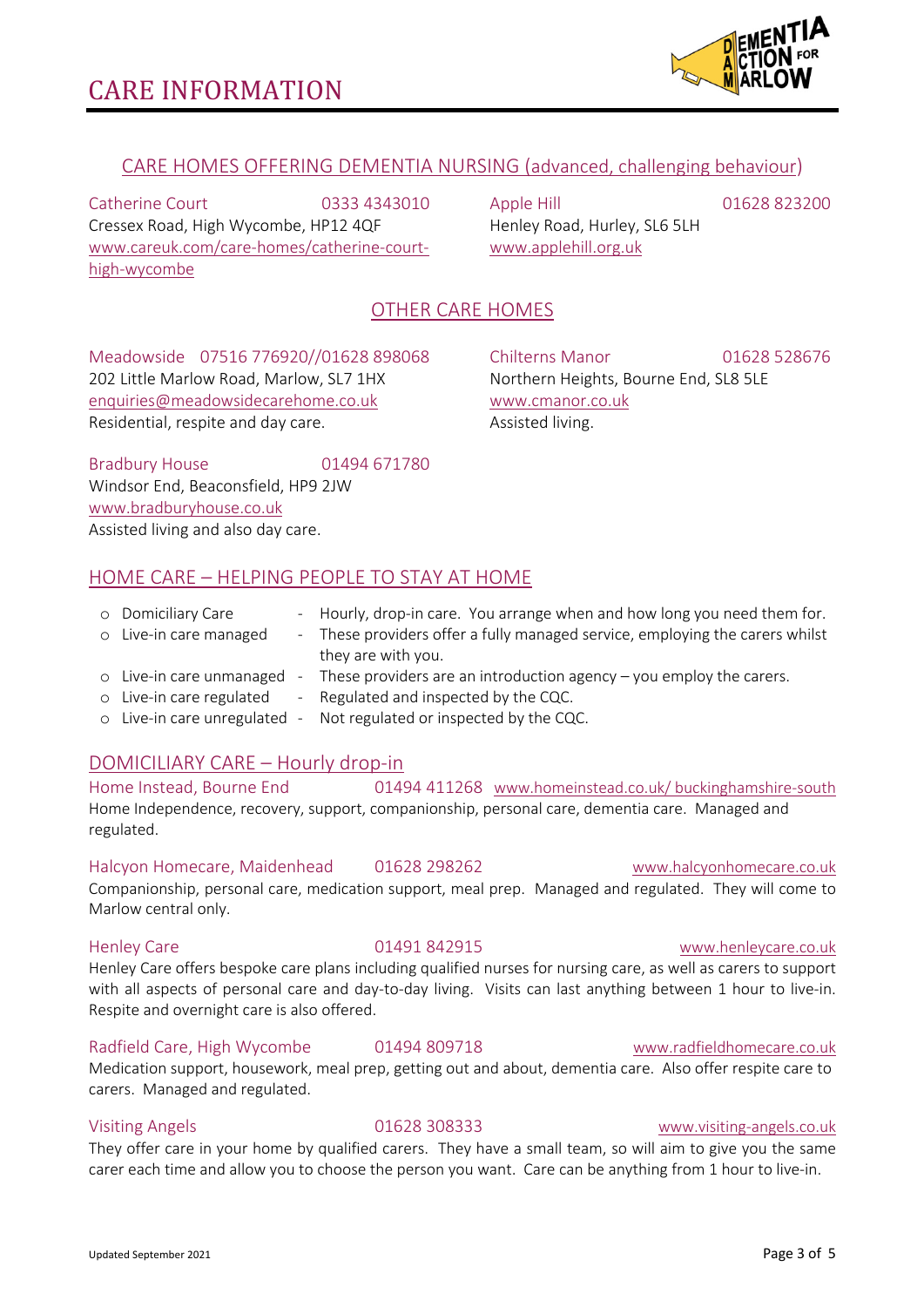

# CARE HOMES OFFERING DEMENTIA NURSING (advanced, challenging behaviour)

Catherine Court 0333 4343010 Cressex Road, High Wycombe, HP12 4QF www.careuk.com/care-homes/catherine-courthigh-wycombe

Apple Hill 01628 823200 Henley Road, Hurley, SL6 5LH www.applehill.org.uk

# OTHER CARE HOMES

Meadowside 07516 776920//01628 898068 202 Little Marlow Road, Marlow, SL7 1HX enquiries@meadowsidecarehome.co.uk Residential, respite and day care.

Chilterns Manor 01628 528676 Northern Heights, Bourne End, SL8 5LE www.cmanor.co.uk Assisted living.

Bradbury House 01494 671780 Windsor End, Beaconsfield, HP9 2JW www.bradburyhouse.co.uk Assisted living and also day care.

# HOME CARE – HELPING PEOPLE TO STAY AT HOME

| o Domiciliary Care     | - Hourly, drop-in care. You arrange when and how long you need them for.     |
|------------------------|------------------------------------------------------------------------------|
| o Live-in care managed | - These providers offer a fully managed service, employing the carers whilst |
|                        | they are with you.                                                           |

- o Live-in care unmanaged These providers are an introduction agency you employ the carers.
- o Live-in care regulated Regulated and inspected by the CQC.
- o Live-in care unregulated Not regulated or inspected by the CQC.

### DOMICILIARY CARE – Hourly drop-in

### Home Instead, Bourne End 01494 411268 www.homeinstead.co.uk/ buckinghamshire-south Home Independence, recovery, support, companionship, personal care, dementia care. Managed and regulated.

Halcyon Homecare, Maidenhead 01628 298262 www.halcyonhomecare.co.uk

Companionship, personal care, medication support, meal prep. Managed and regulated. They will come to Marlow central only.

#### Henley Care 01491 842915 www.henleycare.co.uk

Henley Care offers bespoke care plans including qualified nurses for nursing care, as well as carers to support with all aspects of personal care and day-to-day living. Visits can last anything between 1 hour to live-in. Respite and overnight care is also offered.

### Radfield Care, High Wycombe 01494 809718 www.radfieldhomecare.co.uk

Medication support, housework, meal prep, getting out and about, dementia care. Also offer respite care to carers. Managed and regulated.

They offer care in your home by qualified carers. They have a small team, so will aim to give you the same carer each time and allow you to choose the person you want. Care can be anything from 1 hour to live-in.

#### Updated September 2021 Page 3 of 5

#### Visiting Angels 01628 308333 www.visiting-angels.co.uk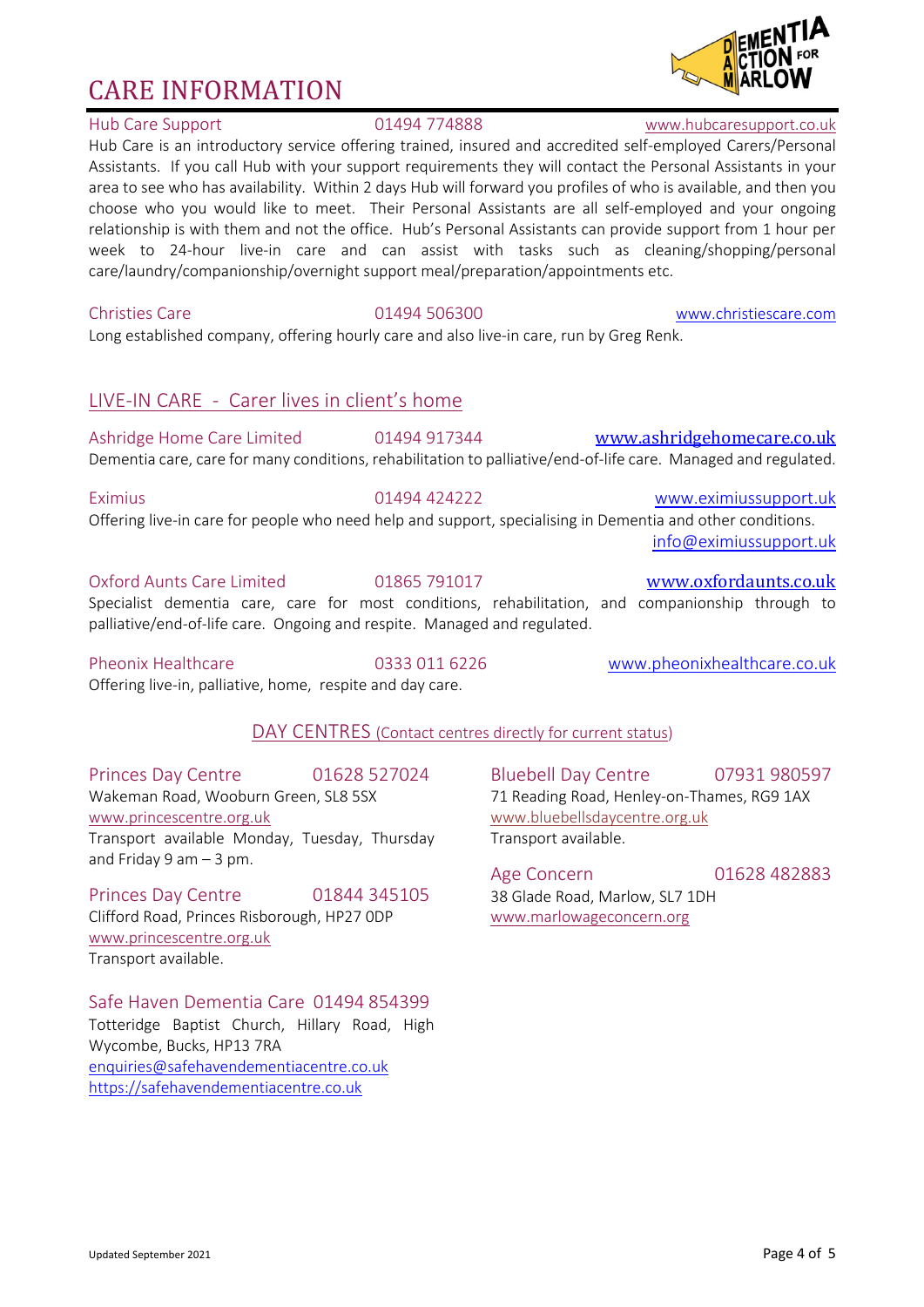# Hub Care Support 01494 774888 www.hubcaresupport.co.uk

Hub Care is an introductory service offering trained, insured and accredited self-employed Carers/Personal Assistants. If you call Hub with your support requirements they will contact the Personal Assistants in your area to see who has availability. Within 2 days Hub will forward you profiles of who is available, and then you choose who you would like to meet. Their Personal Assistants are all self-employed and your ongoing relationship is with them and not the office. Hub's Personal Assistants can provide support from 1 hour per week to 24-hour live-in care and can assist with tasks such as cleaning/shopping/personal care/laundry/companionship/overnight support meal/preparation/appointments etc.

Long established company, offering hourly care and also live-in care, run by Greg Renk.

# LIVE-IN CARE - Carer lives in client's home

Ashridge Home Care Limited 01494 917344 www.ashridgehomecare.co.uk Dementia care, care for many conditions, rehabilitation to palliative/end-of-life care. Managed and regulated.

Eximius 01494 424222 www.eximiussupport.uk Offering live-in care for people who need help and support, specialising in Dementia and other conditions. info@eximiussupport.uk

### Oxford Aunts Care Limited 01865 791017 www.oxfordaunts.co.uk

Specialist dementia care, care for most conditions, rehabilitation, and companionship through to palliative/end-of-life care. Ongoing and respite. Managed and regulated.

Pheonix Healthcare **2006** 0333 011 6226 www.pheonixhealthcare.co.uk

# DAY CENTRES (Contact centres directly for current status)

Princes Day Centre 01628 527024 Wakeman Road, Wooburn Green, SL8 5SX www.princescentre.org.uk Transport available Monday, Tuesday, Thursday and Friday 9 am  $-$  3 pm.

Offering live-in, palliative, home, respite and day care.

Princes Day Centre 01844 345105 Clifford Road, Princes Risborough, HP27 0DP www.princescentre.org.uk Transport available.

# Safe Haven Dementia Care 01494 854399

Totteridge Baptist Church, Hillary Road, High Wycombe, Bucks, HP13 7RA enquiries@safehavendementiacentre.co.uk https://safehavendementiacentre.co.uk

Bluebell Day Centre 07931 980597 71 Reading Road, Henley-on-Thames, RG9 1AX www.bluebellsdaycentre.org.uk Transport available.

Age Concern 01628 482883 38 Glade Road, Marlow, SL7 1DH www.marlowageconcern.org



Christies Care 01494 506300 www.christiescare.com